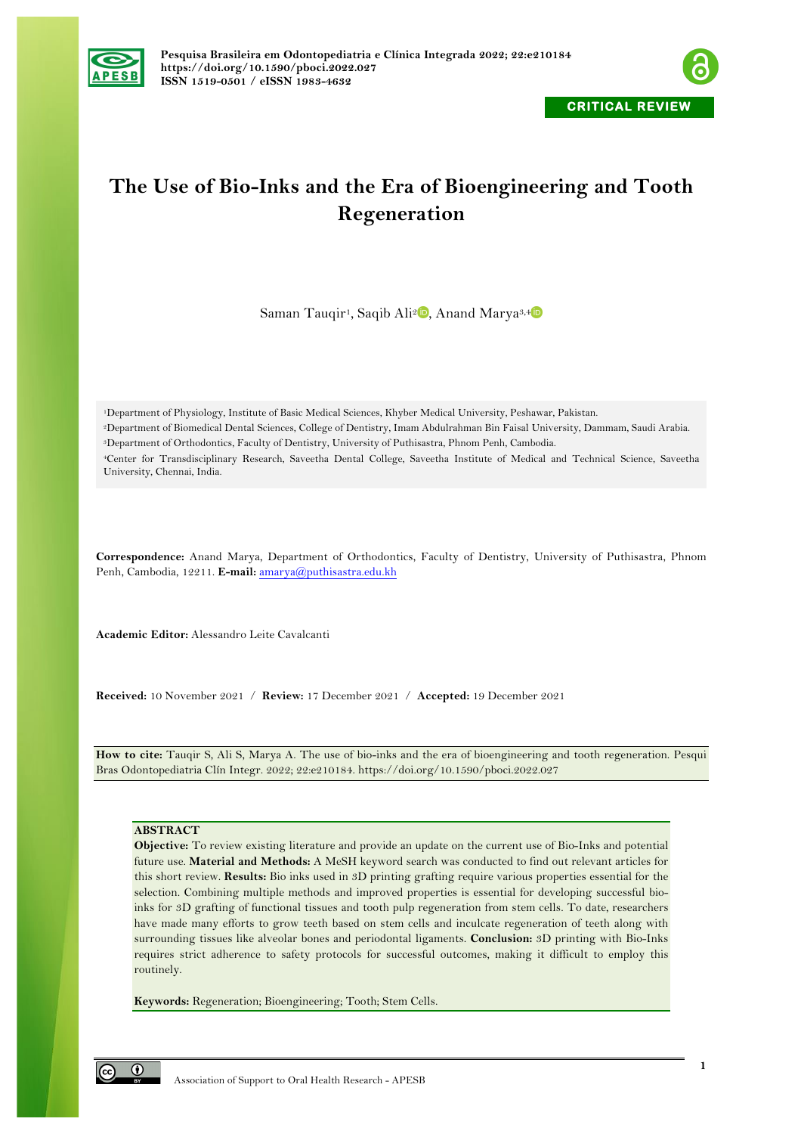

# **The Use of Bio-Inks and the Era of Bioengineering and Tooth Regeneration**

Saman Tauqir<sup>1</sup>, Saqib Ali<sup>2</sup><sup>D</sup>, Anand Marya<sup>3,[4](https://orcid.org/0000-0003-2009-4393)</sup>D

1Department of Physiology, Institute of Basic Medical Sciences, Khyber Medical University, Peshawar, Pakistan. 2Department of Biomedical Dental Sciences, College of Dentistry, Imam Abdulrahman Bin Faisal University, Dammam, Saudi Arabia. 3Department of Orthodontics, Faculty of Dentistry, University of Puthisastra, Phnom Penh, Cambodia. 4Center for Transdisciplinary Research, Saveetha Dental College, Saveetha Institute of Medical and Technical Science, Saveetha University, Chennai, India.

**Correspondence:** Anand Marya, Department of Orthodontics, Faculty of Dentistry, University of Puthisastra, Phnom Penh, Cambodia, 12211. **E-mail:** amarya@puthisastra.edu.kh

**Academic Editor:** Alessandro Leite Cavalcanti

**Received:** 10 November 2021 / **Review:** 17 December 2021 / **Accepted:** 19 December 2021

**How to cite:** Tauqir S, Ali S, Marya A. The use of bio-inks and the era of bioengineering and tooth regeneration. Pesqui Bras Odontopediatria Clín Integr. 2022; 22:e210184. https://doi.org/10.1590/pboci.2022.027

# **ABSTRACT**

**Objective:** To review existing literature and provide an update on the current use of Bio-Inks and potential future use. **Material and Methods:** A MeSH keyword search was conducted to find out relevant articles for this short review. **Results:** Bio inks used in 3D printing grafting require various properties essential for the selection. Combining multiple methods and improved properties is essential for developing successful bioinks for 3D grafting of functional tissues and tooth pulp regeneration from stem cells. To date, researchers have made many efforts to grow teeth based on stem cells and inculcate regeneration of teeth along with surrounding tissues like alveolar bones and periodontal ligaments. **Conclusion:** 3D printing with Bio-Inks requires strict adherence to safety protocols for successful outcomes, making it difficult to employ this routinely.

**Keywords:** Regeneration; Bioengineering; Tooth; Stem Cells.

 $\odot$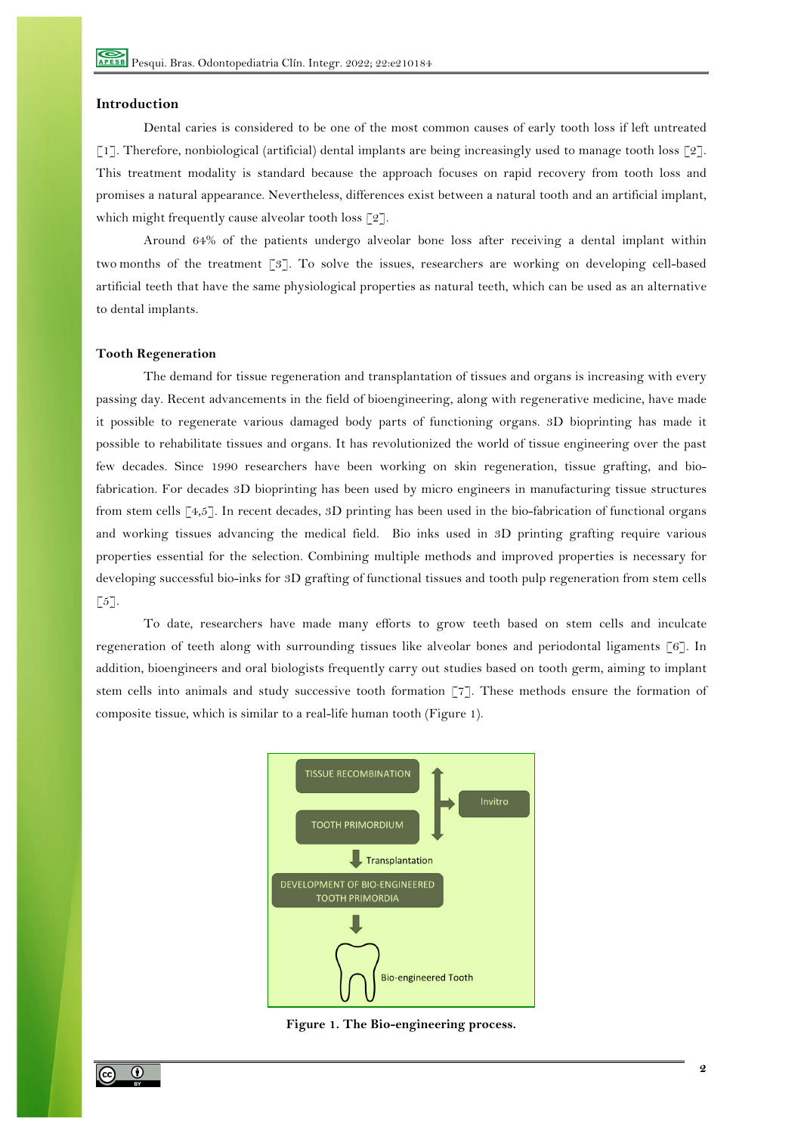## **Introduction**

Dental caries is considered to be one of the most common causes of early tooth loss if left untreated [1]. Therefore, nonbiological (artificial) dental implants are being increasingly used to manage tooth loss [2]. This treatment modality is standard because the approach focuses on rapid recovery from tooth loss and promises a natural appearance. Nevertheless, differences exist between a natural tooth and an artificial implant, which might frequently cause alveolar tooth loss  $\lceil 2 \rceil$ .

Around 64% of the patients undergo alveolar bone loss after receiving a dental implant within two months of the treatment [3]. To solve the issues, researchers are working on developing cell-based artificial teeth that have the same physiological properties as natural teeth, which can be used as an alternative to dental implants.

## **Tooth Regeneration**

The demand for tissue regeneration and transplantation of tissues and organs is increasing with every passing day. Recent advancements in the field of bioengineering, along with regenerative medicine, have made it possible to regenerate various damaged body parts of functioning organs. 3D bioprinting has made it possible to rehabilitate tissues and organs. It has revolutionized the world of tissue engineering over the past few decades. Since 1990 researchers have been working on skin regeneration, tissue grafting, and biofabrication. For decades 3D bioprinting has been used by micro engineers in manufacturing tissue structures from stem cells [4,5]. In recent decades, 3D printing has been used in the bio-fabrication of functional organs and working tissues advancing the medical field. Bio inks used in 3D printing grafting require various properties essential for the selection. Combining multiple methods and improved properties is necessary for developing successful bio-inks for 3D grafting of functional tissues and tooth pulp regeneration from stem cells  $\lceil 5 \rceil$ .

To date, researchers have made many efforts to grow teeth based on stem cells and inculcate regeneration of teeth along with surrounding tissues like alveolar bones and periodontal ligaments [6]. In addition, bioengineers and oral biologists frequently carry out studies based on tooth germ, aiming to implant stem cells into animals and study successive tooth formation [7]. These methods ensure the formation of composite tissue, which is similar to a real-life human tooth (Figure 1).



**Figure 1. The Bio-engineering process.**

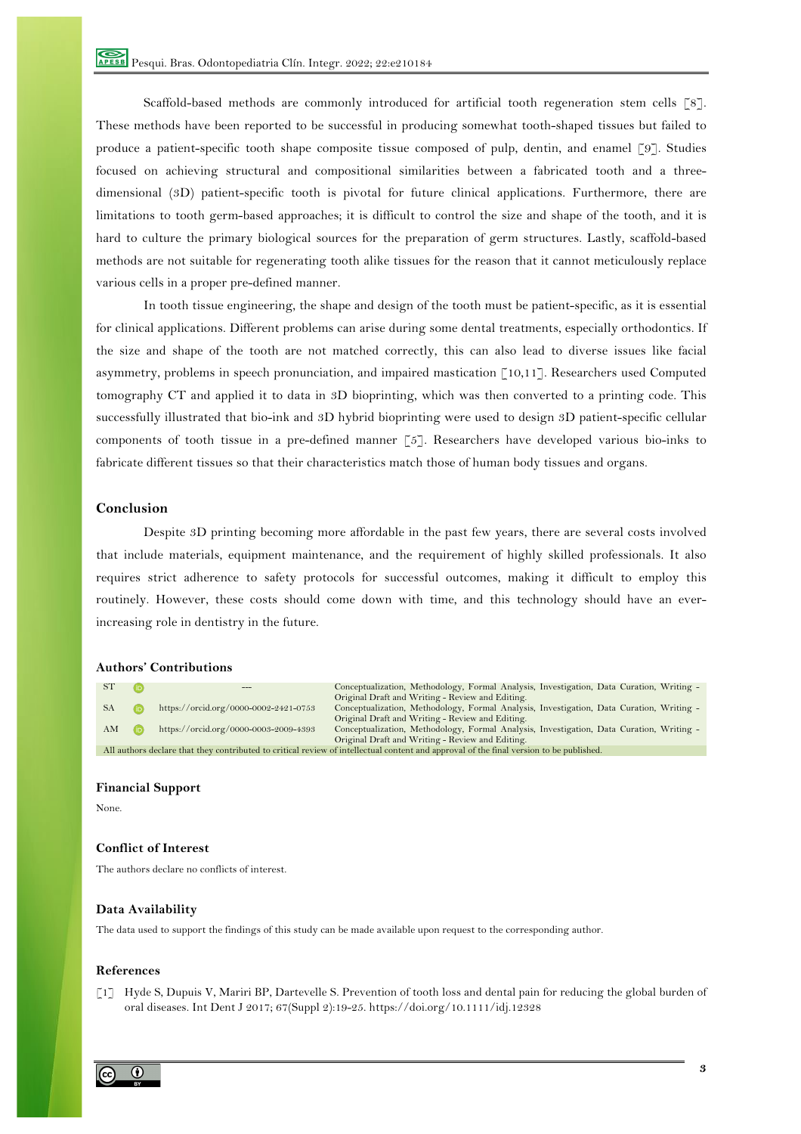Scaffold-based methods are commonly introduced for artificial tooth regeneration stem cells [8]. These methods have been reported to be successful in producing somewhat tooth-shaped tissues but failed to produce a patient-specific tooth shape composite tissue composed of pulp, dentin, and enamel [9]. Studies focused on achieving structural and compositional similarities between a fabricated tooth and a threedimensional (3D) patient-specific tooth is pivotal for future clinical applications. Furthermore, there are limitations to tooth germ-based approaches; it is difficult to control the size and shape of the tooth, and it is hard to culture the primary biological sources for the preparation of germ structures. Lastly, scaffold-based methods are not suitable for regenerating tooth alike tissues for the reason that it cannot meticulously replace various cells in a proper pre-defined manner.

In tooth tissue engineering, the shape and design of the tooth must be patient-specific, as it is essential for clinical applications. Different problems can arise during some dental treatments, especially orthodontics. If the size and shape of the tooth are not matched correctly, this can also lead to diverse issues like facial asymmetry, problems in speech pronunciation, and impaired mastication [10,11]. Researchers used Computed tomography CT and applied it to data in 3D bioprinting, which was then converted to a printing code. This successfully illustrated that bio-ink and 3D hybrid bioprinting were used to design 3D patient-specific cellular components of tooth tissue in a pre-defined manner [5]. Researchers have developed various bio-inks to fabricate different tissues so that their characteristics match those of human body tissues and organs.

# **Conclusion**

Despite 3D printing becoming more affordable in the past few years, there are several costs involved that include materials, equipment maintenance, and the requirement of highly skilled professionals. It also requires strict adherence to safety protocols for successful outcomes, making it difficult to employ this routinely. However, these costs should come down with time, and this technology should have an everincreasing role in dentistry in the future.

# **Authors' Contributions**

| S <sub>1</sub>                                                                                                                          |  |                                       | Conceptualization, Methodology, Formal Analysis, Investigation, Data Curation, Writing - |
|-----------------------------------------------------------------------------------------------------------------------------------------|--|---------------------------------------|------------------------------------------------------------------------------------------|
|                                                                                                                                         |  |                                       | Original Draft and Writing - Review and Editing.                                         |
| <b>SA</b>                                                                                                                               |  | https://orcid.org/0000-0002-2421-0753 | Conceptualization, Methodology, Formal Analysis, Investigation, Data Curation, Writing - |
|                                                                                                                                         |  |                                       | Original Draft and Writing - Review and Editing.                                         |
| AM                                                                                                                                      |  | https://orcid.org/0000-0003-2009-4393 | Conceptualization, Methodology, Formal Analysis, Investigation, Data Curation, Writing - |
|                                                                                                                                         |  |                                       | Original Draft and Writing - Review and Editing.                                         |
| All authors declare that they contributed to critical review of intellectual content and approval of the final version to be published. |  |                                       |                                                                                          |

## **Financial Support**

None.

# **Conflict of Interest**

The authors declare no conflicts of interest.

#### **Data Availability**

The data used to support the findings of this study can be made available upon request to the corresponding author.

## **References**

[1] Hyde S, Dupuis V, Mariri BP, Dartevelle S. Prevention of tooth loss and dental pain for reducing the global burden of oral diseases. Int Dent J 2017; 67(Suppl 2):19-25. https://doi.org/10.1111/idj.12328